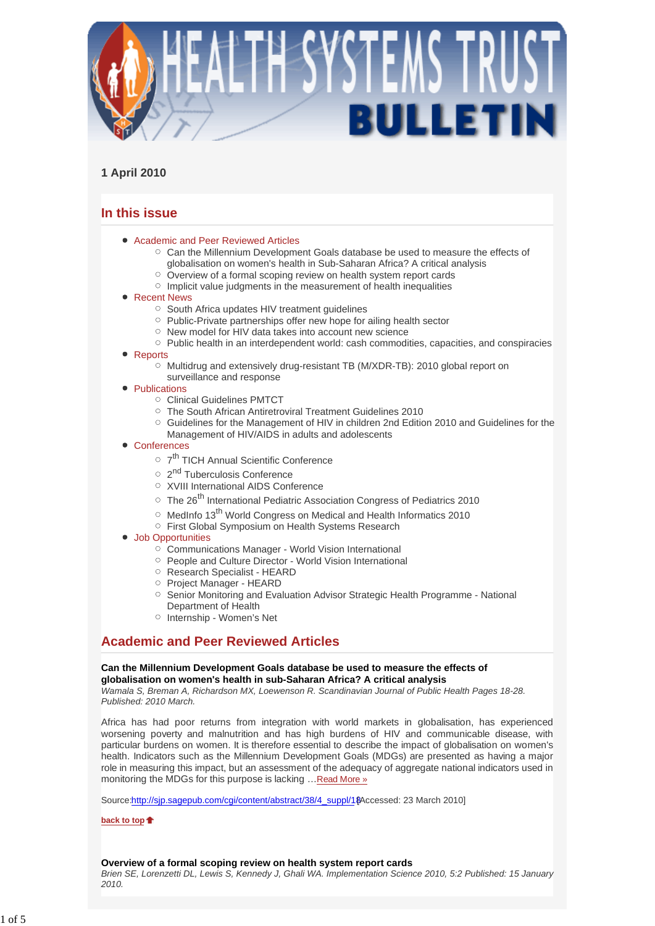

# **1 April 2010**

# **In this issue**

- Academic and Peer Reviewed Articles
	- $\circ$  Can the Millennium Development Goals database be used to measure the effects of globalisation on women's health in Sub-Saharan Africa? A critical analysis
	- $\circ$  Overview of a formal scoping review on health system report cards
	- $\circ$  Implicit value judgments in the measurement of health inequalities
- Recent News
	- South Africa updates HIV treatment quidelines
	- $\circ$  Public-Private partnerships offer new hope for ailing health sector
	- o New model for HIV data takes into account new science
	- Public health in an interdependent world: cash commodities, capacities, and conspiracies
- Reports
	- Multidrug and extensively drug-resistant TB (M/XDR-TB): 2010 global report on
	- surveillance and response
- Publications
	- Clinical Guidelines PMTCT
	- The South African Antiretroviral Treatment Guidelines 2010
	- $\circ$  Guidelines for the Management of HIV in children 2nd Edition 2010 and Guidelines for the Management of HIV/AIDS in adults and adolescents
- Conferences
	- o 7<sup>th</sup> TICH Annual Scientific Conference
	- o 2<sup>nd</sup> Tuberculosis Conference
	- XVIII International AIDS Conference
	- $\circ$  The 26<sup>th</sup> International Pediatric Association Congress of Pediatrics 2010
	- $\circ$  MedInfo 13<sup>th</sup> World Congress on Medical and Health Informatics 2010
	- First Global Symposium on Health Systems Research
- Job Opportunities
	- $\circ$  Communications Manager World Vision International
	- People and Culture Director World Vision International
	- Research Specialist HEARD
	- Project Manager HEARD
	- O Senior Monitoring and Evaluation Advisor Strategic Health Programme National Department of Health
	- o Internship Women's Net

# **Academic and Peer Reviewed Articles**

## **Can the Millennium Development Goals database be used to measure the effects of globalisation on women's health in sub-Saharan Africa? A critical analysis**

*Wamala S, Breman A, Richardson MX, Loewenson R. Scandinavian Journal of Public Health Pages 18-28. Published: 2010 March.* 

Africa has had poor returns from integration with world markets in globalisation, has experienced worsening poverty and malnutrition and has high burdens of HIV and communicable disease, with particular burdens on women. It is therefore essential to describe the impact of globalisation on women's health. Indicators such as the Millennium Development Goals (MDGs) are presented as having a major role in measuring this impact, but an assessment of the adequacy of aggregate national indicators used in monitoring the MDGs for this purpose is lacking …Read More »

Source:http://sip.sagepub.com/cgi/content/abstract/38/4\_suppl/18 Accessed: 23 March 2010]

**back to top**

## **Overview of a formal scoping review on health system report cards**

*Brien SE, Lorenzetti DL, Lewis S, Kennedy J, Ghali WA. Implementation Science 2010, 5:2 Published: 15 January 2010.*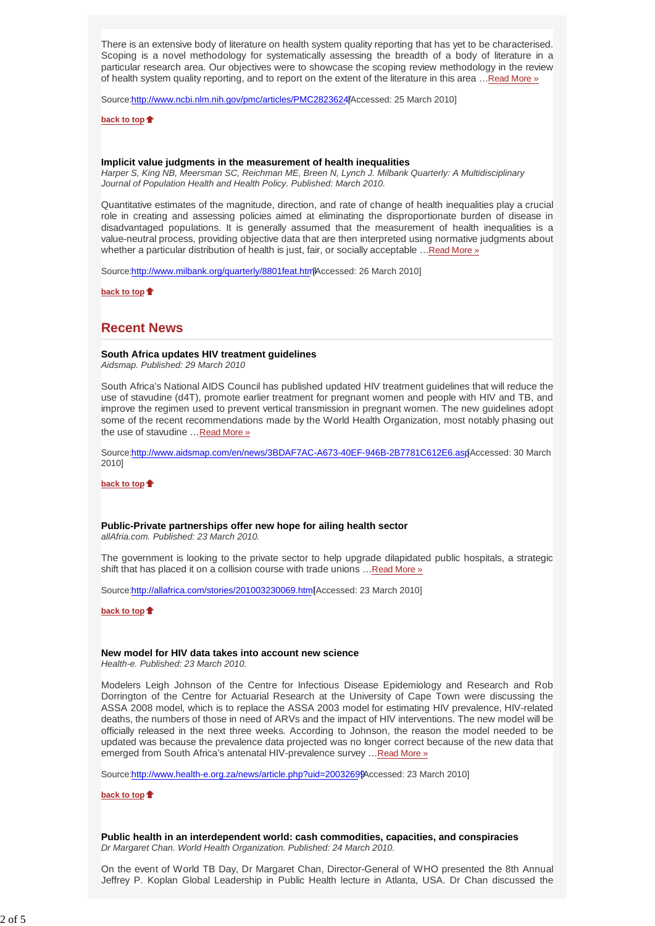There is an extensive body of literature on health system quality reporting that has yet to be characterised. Scoping is a novel methodology for systematically assessing the breadth of a body of literature in a particular research area. Our objectives were to showcase the scoping review methodology in the review of health system quality reporting, and to report on the extent of the literature in this area …Read More »

Source:http://www.ncbi.nlm.nih.gov/pmc/articles/PMC2823624[Accessed: 25 March 2010]

**back to top**

## **Implicit value judgments in the measurement of health inequalities**

*Harper S, King NB, Meersman SC, Reichman ME, Breen N, Lynch J. Milbank Quarterly: A Multidisciplinary Journal of Population Health and Health Policy. Published: March 2010.*

Quantitative estimates of the magnitude, direction, and rate of change of health inequalities play a crucial role in creating and assessing policies aimed at eliminating the disproportionate burden of disease in disadvantaged populations. It is generally assumed that the measurement of health inequalities is a value-neutral process, providing objective data that are then interpreted using normative judgments about whether a particular distribution of health is just, fair, or socially acceptable …Read More »

Source:http://www.milbank.org/quarterly/8801feat.html Accessed: 26 March 2010]

**back to top**

# **Recent News**

### **South Africa updates HIV treatment guidelines**

*Aidsmap. Published: 29 March 2010*

South Africa's National AIDS Council has published updated HIV treatment guidelines that will reduce the use of stavudine (d4T), promote earlier treatment for pregnant women and people with HIV and TB, and improve the regimen used to prevent vertical transmission in pregnant women. The new guidelines adopt some of the recent recommendations made by the World Health Organization, most notably phasing out the use of stavudine …Read More »

Source:http://www.aidsmap.com/en/news/3BDAF7AC-A673-40EF-946B-2B7781C612E6.asp [Accessed: 30 March 2010]

**back to top**

## **Public-Private partnerships offer new hope for ailing health sector**

*allAfria.com. Published: 23 March 2010.*

The government is looking to the private sector to help upgrade dilapidated public hospitals, a strategic shift that has placed it on a collision course with trade unions ... Read More »

Source:http://allafrica.com/stories/201003230069.html Accessed: 23 March 2010]

**back to top**

### **New model for HIV data takes into account new science**

*Health-e. Published: 23 March 2010.*

Modelers Leigh Johnson of the Centre for Infectious Disease Epidemiology and Research and Rob Dorrington of the Centre for Actuarial Research at the University of Cape Town were discussing the ASSA 2008 model, which is to replace the ASSA 2003 model for estimating HIV prevalence, HIV-related deaths, the numbers of those in need of ARVs and the impact of HIV interventions. The new model will be officially released in the next three weeks. According to Johnson, the reason the model needed to be updated was because the prevalence data projected was no longer correct because of the new data that emerged from South Africa's antenatal HIV-prevalence survey …Read More »

Source:http://www.health-e.org.za/news/article.php?uid=2003269 $\beta$ Accessed: 23 March 2010]

**back to top**

**Public health in an interdependent world: cash commodities, capacities, and conspiracies** *Dr Margaret Chan. World Health Organization. Published: 24 March 2010.*

On the event of World TB Day, Dr Margaret Chan, Director-General of WHO presented the 8th Annual Jeffrey P. Koplan Global Leadership in Public Health lecture in Atlanta, USA. Dr Chan discussed the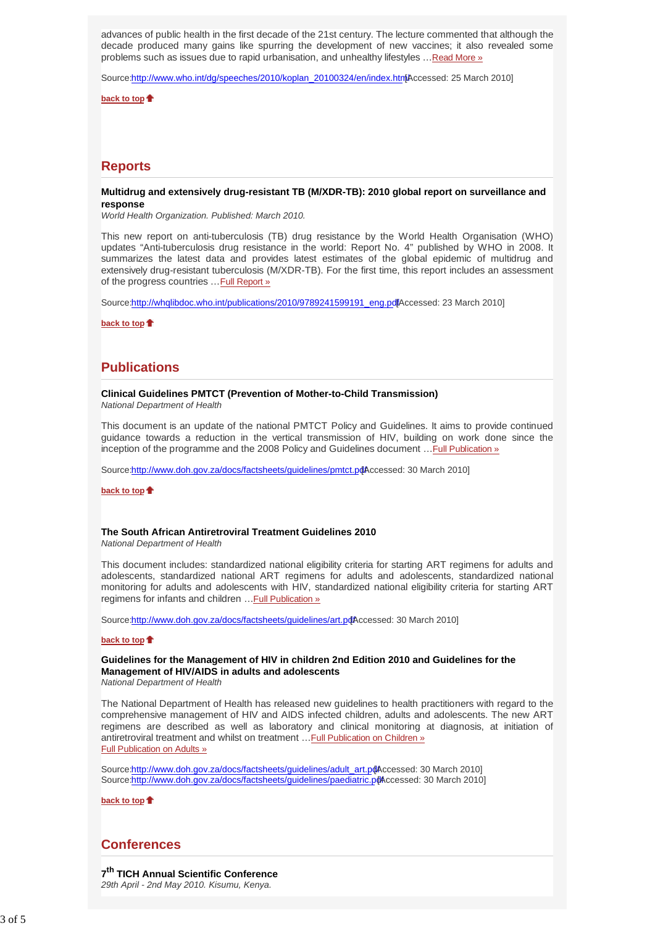advances of public health in the first decade of the 21st century. The lecture commented that although the decade produced many gains like spurring the development of new vaccines; it also revealed some problems such as issues due to rapid urbanisation, and unhealthy lifestyles …Read More »

Source:http://www.who.int/dg/speeches/2010/koplan\_20100324/en/index.html Accessed: 25 March 2010]

**back to top**

# **Reports**

## **Multidrug and extensively drug-resistant TB (M/XDR-TB): 2010 global report on surveillance and response**

*World Health Organization. Published: March 2010.*

This new report on anti-tuberculosis (TB) drug resistance by the World Health Organisation (WHO) updates "Anti-tuberculosis drug resistance in the world: Report No. 4" published by WHO in 2008. It summarizes the latest data and provides latest estimates of the global epidemic of multidrug and extensively drug-resistant tuberculosis (M/XDR-TB). For the first time, this report includes an assessment of the progress countries ... Full Report »

Source:http://whqlibdoc.who.int/publications/2010/9789241599191\_eng.pdfAccessed: 23 March 2010]

**back to top**

# **Publications**

## **Clinical Guidelines PMTCT (Prevention of Mother-to-Child Transmission)**

*National Department of Health*

This document is an update of the national PMTCT Policy and Guidelines. It aims to provide continued guidance towards a reduction in the vertical transmission of HIV, building on work done since the inception of the programme and the 2008 Policy and Guidelines document …Full Publication »

Source:http://www.doh.gov.za/docs/factsheets/guidelines/pmtct.pdAccessed: 30 March 2010]

**back to top**

## **The South African Antiretroviral Treatment Guidelines 2010**

*National Department of Health*

This document includes: standardized national eligibility criteria for starting ART regimens for adults and adolescents, standardized national ART regimens for adults and adolescents, standardized national monitoring for adults and adolescents with HIV, standardized national eligibility criteria for starting ART regimens for infants and children …Full Publication »

Source:http://www.doh.gov.za/docs/factsheets/guidelines/art.pdfAccessed: 30 March 2010]

#### **back to top**

# **Guidelines for the Management of HIV in children 2nd Edition 2010 and Guidelines for the Management of HIV/AIDS in adults and adolescents**

*National Department of Health*

The National Department of Health has released new guidelines to health practitioners with regard to the comprehensive management of HIV and AIDS infected children, adults and adolescents. The new ART regimens are described as well as laboratory and clinical monitoring at diagnosis, at initiation of antiretroviral treatment and whilst on treatment …Full Publication on Children » Full Publication on Adults »

Source:http://www.doh.gov.za/docs/factsheets/guidelines/adult\_art.pdAccessed: 30 March 2010] Source:http://www.doh.gov.za/docs/factsheets/guidelines/paediatric.pt [Accessed: 30 March 2010]

**back to top**

# **Conferences**

**7th TICH Annual Scientific Conference** *29th April - 2nd May 2010. Kisumu, Kenya.*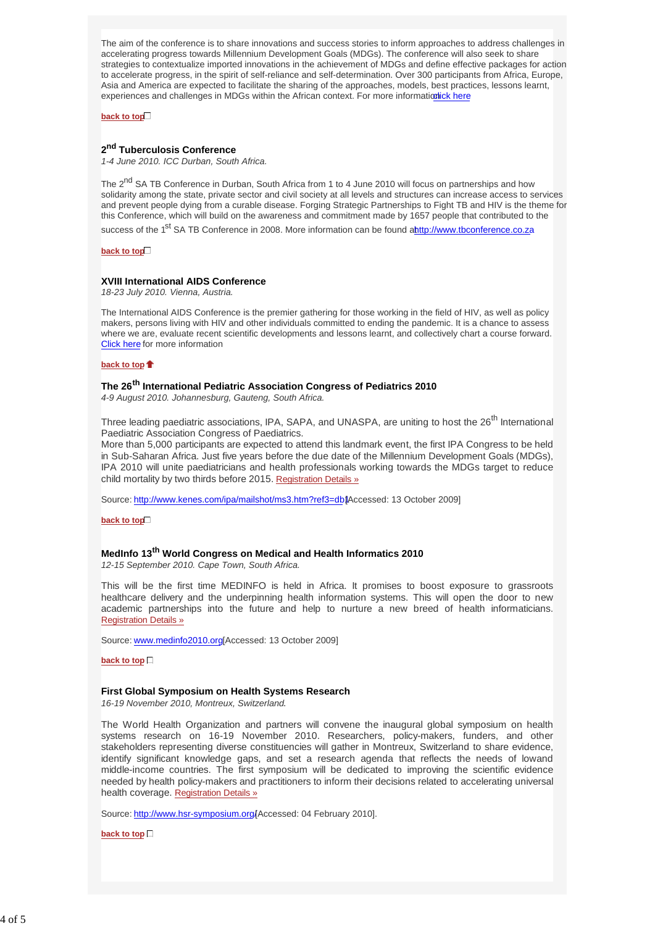The aim of the conference is to share innovations and success stories to inform approaches to address challenges in accelerating progress towards Millennium Development Goals (MDGs). The conference will also seek to share strategies to contextualize imported innovations in the achievement of MDGs and define effective packages for action to accelerate progress, in the spirit of self-reliance and self-determination. Over 300 participants from Africa, Europe, Asia and America are expected to facilitate the sharing of the approaches, models, best practices, lessons learnt, experiences and challenges in MDGs within the African context. For more information ck here

**back to top**

## **2nd Tuberculosis Conference**

*1-4 June 2010. ICC Durban, South Africa.*

The 2<sup>nd</sup> SA TB Conference in Durban, South Africa from 1 to 4 June 2010 will focus on partnerships and how solidarity among the state, private sector and civil society at all levels and structures can increase access to services and prevent people dying from a curable disease. Forging Strategic Partnerships to Fight TB and HIV is the theme for this Conference, which will build on the awareness and commitment made by 1657 people that contributed to the success of the 1<sup>st</sup> SA TB Conference in 2008. More information can be found a**http://www.tbconference.co.za** 

**back to top**

### **XVIII International AIDS Conference**

*18-23 July 2010. Vienna, Austria.*

The International AIDS Conference is the premier gathering for those working in the field of HIV, as well as policy makers, persons living with HIV and other individuals committed to ending the pandemic. It is a chance to assess where we are, evaluate recent scientific developments and lessons learnt, and collectively chart a course forward. Click here for more information

#### **back to top**

## **The 26th International Pediatric Association Congress of Pediatrics 2010**

*4-9 August 2010. Johannesburg, Gauteng, South Africa.*

Three leading paediatric associations, IPA, SAPA, and UNASPA, are uniting to host the 26<sup>th</sup> International Paediatric Association Congress of Paediatrics.

More than 5,000 participants are expected to attend this landmark event, the first IPA Congress to be held in Sub-Saharan Africa. Just five years before the due date of the Millennium Development Goals (MDGs), IPA 2010 will unite paediatricians and health professionals working towards the MDGs target to reduce child mortality by two thirds before 2015. Registration Details »

Source: http://www.kenes.com/ipa/mailshot/ms3.htm?ref3=db1Accessed: 13 October 2009]

**back to top**

# **MedInfo 13th World Congress on Medical and Health Informatics 2010**

*12-15 September 2010. Cape Town, South Africa.*

This will be the first time MEDINFO is held in Africa. It promises to boost exposure to grassroots healthcare delivery and the underpinning health information systems. This will open the door to new academic partnerships into the future and help to nurture a new breed of health informaticians. Registration Details »

Source: www.medinfo2010.org [Accessed: 13 October 2009]

**back to top**

## **First Global Symposium on Health Systems Research**

*16-19 November 2010, Montreux, Switzerland*.

The World Health Organization and partners will convene the inaugural global symposium on health systems research on 16-19 November 2010. Researchers, policy-makers, funders, and other stakeholders representing diverse constituencies will gather in Montreux, Switzerland to share evidence, identify significant knowledge gaps, and set a research agenda that reflects the needs of lowand middle-income countries. The first symposium will be dedicated to improving the scientific evidence needed by health policy-makers and practitioners to inform their decisions related to accelerating universal health coverage. Registration Details »

Source: http://www.hsr-symposium.org/ Accessed: 04 February 2010].

**back to top**